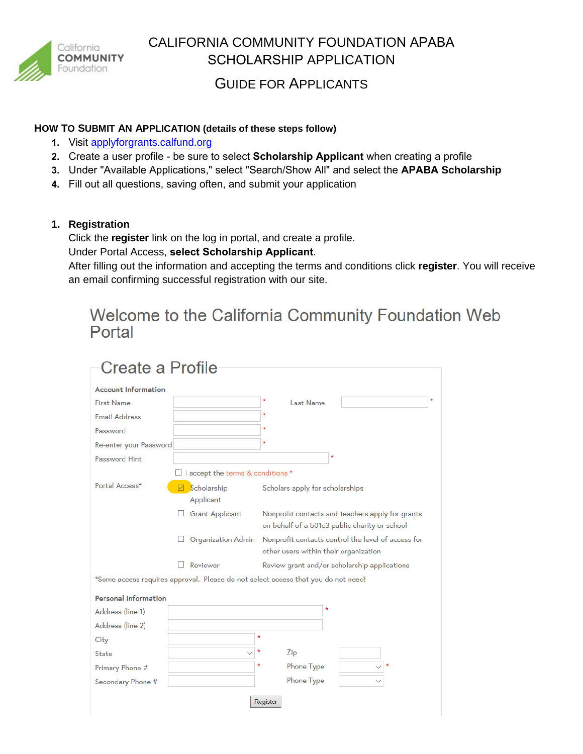

# CALIFORNIA COMMUNITY FOUNDATION APABA SCHOLARSHIP APPLICATION

## GUIDE FOR APPLICANTS

#### **HOW TO SUBMIT AN APPLICATION (details of these steps follow)**

- **1.** Visit applyf[orgrants.calfund.org](https://applyforgrants.calfund.org/)
- **2.** Create a user profile be sure to select **Scholarship Applicant** when creating a profile
- **3.** Under "Available Applications," select "Search/Show All" and select the **APABA Scholarship**
- **4.** Fill out all questions, saving often, and submit your application

#### **1. Registration**

Click the **register** link on the log in portal, and create a profile.

Under Portal Access, **select Scholarship Applicant**.

After filling out the information and accepting the terms and conditions click **register**. You will receive an email confirming successful registration with our site.

# Welcome to the California Community Foundation Web Portal

| Create a Profile            |                                                                                                                                   |  |  |
|-----------------------------|-----------------------------------------------------------------------------------------------------------------------------------|--|--|
| <b>Account Information</b>  |                                                                                                                                   |  |  |
| <b>First Name</b>           | <b>Last Name</b>                                                                                                                  |  |  |
| <b>Email Address</b>        |                                                                                                                                   |  |  |
| Password                    | ٠                                                                                                                                 |  |  |
| Re-enter your Password      | ٠                                                                                                                                 |  |  |
| Password Hint               | ٨                                                                                                                                 |  |  |
|                             | □ I accept the terms & conditions *                                                                                               |  |  |
| Portal Access*              | Scholarship<br>Scholars apply for scholarships<br>⋈<br>Applicant                                                                  |  |  |
|                             | <b>Grant Applicant</b><br>Nonprofit contacts and teachers apply for grants<br>L.<br>on behalf of a 501c3 public charity or school |  |  |
|                             | Nonprofit contacts control the level of access for<br>Organization Admin<br>other users within their organization                 |  |  |
|                             | Reviewer<br>Review grant and/or scholarship applications                                                                          |  |  |
|                             | *Some access requires approval. Please do not select access that you do not need!                                                 |  |  |
| <b>Personal Information</b> |                                                                                                                                   |  |  |
| Address (line 1)            | $\star$                                                                                                                           |  |  |
| Address (line 2)            |                                                                                                                                   |  |  |
| City                        |                                                                                                                                   |  |  |
| State                       | Zip                                                                                                                               |  |  |
| Primary Phone #             | Phone Type                                                                                                                        |  |  |
| Secondary Phone #           | Phone Type                                                                                                                        |  |  |
| Register                    |                                                                                                                                   |  |  |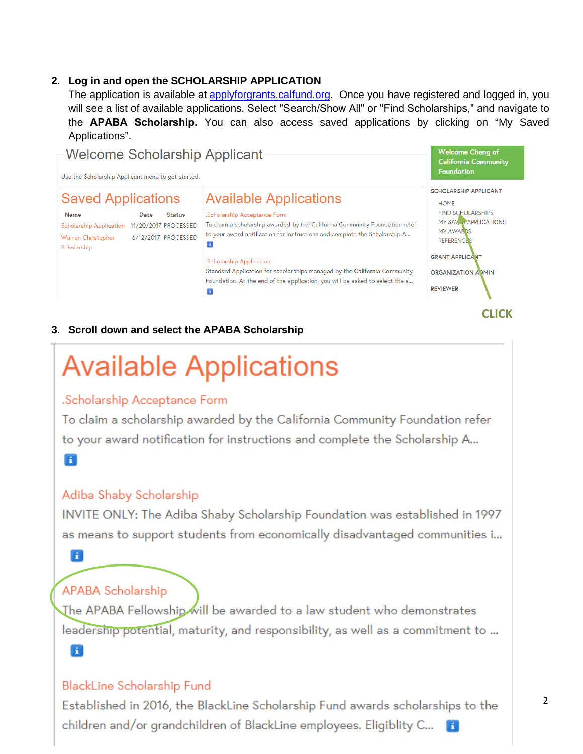#### **2. Log in and open the SCHOLARSHIP APPLICATION**

The application is available at [applyforgrants.calfund.org.](https://applyforgrants.calfund.org/) Once you have registered and logged in, you will see a list of available applications. Select "Search/Show All" or "Find Scholarships," and navigate to the **APABA Scholarship.** You can also access saved applications by clicking on "My Saved Applications".



#### **3. Scroll down and select the APABA Scholarship**

# **Available Applications** .Scholarship Acceptance Form To claim a scholarship awarded by the California Community Foundation refer to your award notification for instructions and complete the Scholarship A... Ħ Adiba Shaby Scholarship INVITE ONLY: The Adiba Shaby Scholarship Foundation was established in 1997 as means to support students from economically disadvantaged communities i... Ħ **APABA Scholarship** The APABA Fellowship will be awarded to a law student who demonstrates leadership potential, maturity, and responsibility, as well as a commitment to ... Ħ

### **BlackLine Scholarship Fund**

Established in 2016, the BlackLine Scholarship Fund awards scholarships to the children and/or grandchildren of BlackLine employees. Eligiblity C...

**CLICK**